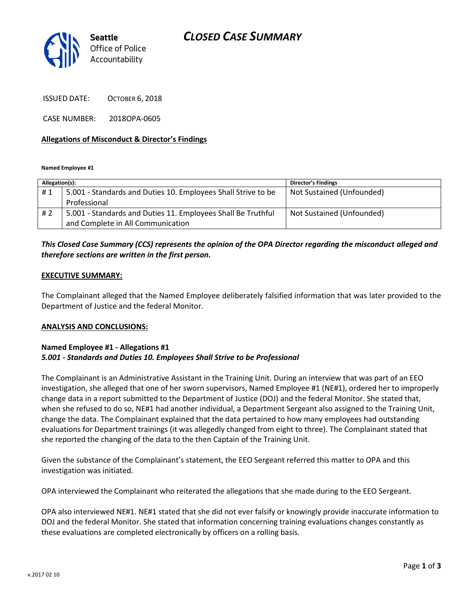## *CLOSED CASE SUMMARY*



ISSUED DATE: OCTOBER 6, 2018

CASE NUMBER: 2018OPA-0605

#### **Allegations of Misconduct & Director's Findings**

**Named Employee #1**

| Allegation(s): |                                                               | <b>Director's Findings</b> |
|----------------|---------------------------------------------------------------|----------------------------|
| #1             | 5.001 - Standards and Duties 10. Employees Shall Strive to be | Not Sustained (Unfounded)  |
|                | Professional                                                  |                            |
| #2             | 5.001 - Standards and Duties 11. Employees Shall Be Truthful  | Not Sustained (Unfounded)  |
|                | and Complete in All Communication                             |                            |

## *This Closed Case Summary (CCS) represents the opinion of the OPA Director regarding the misconduct alleged and therefore sections are written in the first person.*

#### **EXECUTIVE SUMMARY:**

The Complainant alleged that the Named Employee deliberately falsified information that was later provided to the Department of Justice and the federal Monitor.

#### **ANALYSIS AND CONCLUSIONS:**

#### **Named Employee #1 - Allegations #1** *5.001 - Standards and Duties 10. Employees Shall Strive to be Professional*

The Complainant is an Administrative Assistant in the Training Unit. During an interview that was part of an EEO investigation, she alleged that one of her sworn supervisors, Named Employee #1 (NE#1), ordered her to improperly change data in a report submitted to the Department of Justice (DOJ) and the federal Monitor. She stated that, when she refused to do so, NE#1 had another individual, a Department Sergeant also assigned to the Training Unit, change the data. The Complainant explained that the data pertained to how many employees had outstanding evaluations for Department trainings (it was allegedly changed from eight to three). The Complainant stated that she reported the changing of the data to the then Captain of the Training Unit.

Given the substance of the Complainant's statement, the EEO Sergeant referred this matter to OPA and this investigation was initiated.

OPA interviewed the Complainant who reiterated the allegations that she made during to the EEO Sergeant.

OPA also interviewed NE#1. NE#1 stated that she did not ever falsify or knowingly provide inaccurate information to DOJ and the federal Monitor. She stated that information concerning training evaluations changes constantly as these evaluations are completed electronically by officers on a rolling basis.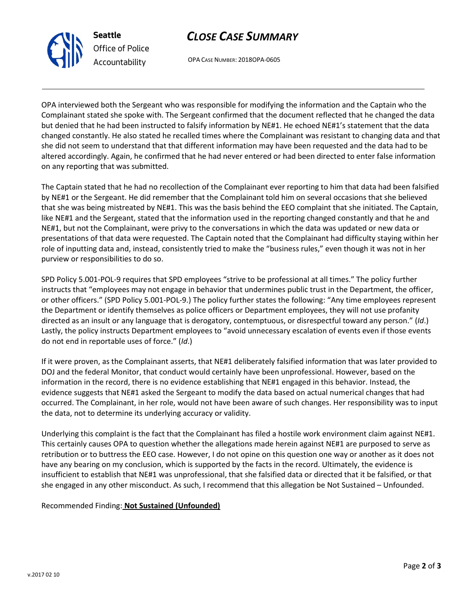



OPA CASE NUMBER: 2018OPA-0605

OPA interviewed both the Sergeant who was responsible for modifying the information and the Captain who the Complainant stated she spoke with. The Sergeant confirmed that the document reflected that he changed the data but denied that he had been instructed to falsify information by NE#1. He echoed NE#1's statement that the data changed constantly. He also stated he recalled times where the Complainant was resistant to changing data and that she did not seem to understand that that different information may have been requested and the data had to be altered accordingly. Again, he confirmed that he had never entered or had been directed to enter false information on any reporting that was submitted.

The Captain stated that he had no recollection of the Complainant ever reporting to him that data had been falsified by NE#1 or the Sergeant. He did remember that the Complainant told him on several occasions that she believed that she was being mistreated by NE#1. This was the basis behind the EEO complaint that she initiated. The Captain, like NE#1 and the Sergeant, stated that the information used in the reporting changed constantly and that he and NE#1, but not the Complainant, were privy to the conversations in which the data was updated or new data or presentations of that data were requested. The Captain noted that the Complainant had difficulty staying within her role of inputting data and, instead, consistently tried to make the "business rules," even though it was not in her purview or responsibilities to do so.

SPD Policy 5.001-POL-9 requires that SPD employees "strive to be professional at all times." The policy further instructs that "employees may not engage in behavior that undermines public trust in the Department, the officer, or other officers." (SPD Policy 5.001-POL-9.) The policy further states the following: "Any time employees represent the Department or identify themselves as police officers or Department employees, they will not use profanity directed as an insult or any language that is derogatory, contemptuous, or disrespectful toward any person." (*Id*.) Lastly, the policy instructs Department employees to "avoid unnecessary escalation of events even if those events do not end in reportable uses of force." (*Id*.)

If it were proven, as the Complainant asserts, that NE#1 deliberately falsified information that was later provided to DOJ and the federal Monitor, that conduct would certainly have been unprofessional. However, based on the information in the record, there is no evidence establishing that NE#1 engaged in this behavior. Instead, the evidence suggests that NE#1 asked the Sergeant to modify the data based on actual numerical changes that had occurred. The Complainant, in her role, would not have been aware of such changes. Her responsibility was to input the data, not to determine its underlying accuracy or validity.

Underlying this complaint is the fact that the Complainant has filed a hostile work environment claim against NE#1. This certainly causes OPA to question whether the allegations made herein against NE#1 are purposed to serve as retribution or to buttress the EEO case. However, I do not opine on this question one way or another as it does not have any bearing on my conclusion, which is supported by the facts in the record. Ultimately, the evidence is insufficient to establish that NE#1 was unprofessional, that she falsified data or directed that it be falsified, or that she engaged in any other misconduct. As such, I recommend that this allegation be Not Sustained – Unfounded.

## Recommended Finding: **Not Sustained (Unfounded)**